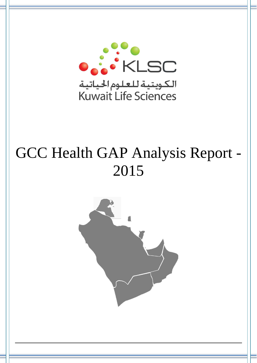

# GCC Health GAP Analysis Report - 2015

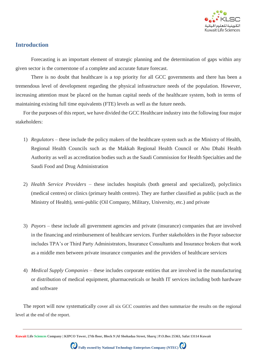

## **Introduction**

Forecasting is an important element of strategic planning and the determination of gaps within any given sector is the cornerstone of a complete and accurate future forecast.

There is no doubt that healthcare is a top priority for all GCC governments and there has been a tremendous level of development regarding the physical infrastructure needs of the population. However, increasing attention must be placed on the human capital needs of the healthcare system, both in terms of maintaining existing full time equivalents (FTE) levels as well as the future needs.

For the purposes of this report, we have divided the GCC Healthcare industry into the following four major stakeholders:

- 1) *Regulators –* these include the policy makers of the healthcare system such as the Ministry of Health, Regional Health Councils such as the Makkah Regional Health Council or Abu Dhabi Health Authority as well as accreditation bodies such as the Saudi Commission for Health Specialties and the Saudi Food and Drug Administration
- 2) *Health Service Providers –* these includes hospitals (both general and specialized), polyclinics (medical centres) or clinics (primary health centres). They are further classified as public (such as the Ministry of Health), semi-public (Oil Company, Military, University, etc.) and private
- 3) *Payors –* these include all government agencies and private (insurance) companies that are involved in the financing and reimbursement of healthcare services. Further stakeholders in the Payor subsector includes TPA's or Third Party Administrators, Insurance Consultants and Insurance brokers that work as a middle men between private insurance companies and the providers of healthcare services
- 4) *Medical Supply Companies –* these includes corporate entities that are involved in the manufacturing or distribution of medical equipment, pharmaceuticals or health IT services including both hardware and software

The report will now systematically cover all six GCC countries and then summarize the results on the regional level at the end of the report.

**Kuwait Life Sciences Company | KIPCO Tower, 27th floor, Block 9 |Al Shohadaa Street, Sharq | P.O.Box 25363, Safat 13114 Kuwait**

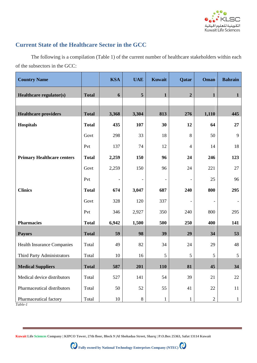

# **Current State of the Healthcare Sector in the GCC**

The following is a compilation (Table 1) of the current number of healthcare stakeholders within each of the subsectors in the GCC:

| <b>Country Name</b>               |              | <b>KSA</b>        | <b>UAE</b>               | Kuwait       | Qatar                    | Oman           | <b>Bahrain</b> |
|-----------------------------------|--------------|-------------------|--------------------------|--------------|--------------------------|----------------|----------------|
| Healthcare regulator(s)           | <b>Total</b> | 6                 | 5                        | $\mathbf{1}$ | $\overline{2}$           | $\mathbf{1}$   | $\mathbf{1}$   |
|                                   |              |                   |                          |              |                          |                |                |
| <b>Healthcare providers</b>       | <b>Total</b> | 3,368             | 3,304                    | 813          | 276                      | 1,110          | 445            |
| <b>Hospitals</b>                  | <b>Total</b> | 435               | 107                      | 30           | 12                       | 64             | 27             |
|                                   | Govt         | 298               | 33                       | 18           | 8                        | 50             | 9              |
|                                   | Pvt          | 137               | 74                       | 12           | $\overline{4}$           | 14             | 18             |
| <b>Primary Healthcare centers</b> | <b>Total</b> | 2,259             | 150                      | 96           | 24                       | 246            | 123            |
|                                   | Govt         | 2,259             | 150                      | 96           | 24                       | 221            | 27             |
|                                   | Pvt          | $\qquad \qquad -$ | $\overline{\phantom{a}}$ |              | $\overline{\phantom{a}}$ | 25             | 96             |
| <b>Clinics</b>                    | <b>Total</b> | 674               | 3,047                    | 687          | 240                      | 800            | 295            |
|                                   | Govt         | 328               | 120                      | 337          | $\overline{\phantom{m}}$ |                |                |
|                                   | Pvt          | 346               | 2,927                    | 350          | 240                      | 800            | 295            |
| <b>Pharmacies</b>                 | <b>Total</b> | 6,942             | 1,500                    | 500          | 250                      | 400            | 141            |
| <b>Payors</b>                     | <b>Total</b> | 59                | 98                       | 39           | 29                       | 34             | 53             |
| <b>Health Insurance Companies</b> | Total        | 49                | 82                       | 34           | 24                       | 29             | 48             |
| Third Party Administrators        | Total        | 10                | 16                       | 5            | 5                        | 5              | 5              |
| <b>Medical Suppliers</b>          | <b>Total</b> | 587               | 201                      | <b>110</b>   | 81                       | 45             | 34             |
| Medical device distributors       | Total        | 527               | 141                      | 54           | 39                       | 21             | 22             |
| Pharmaceutical distributors       | Total        | 50                | 52                       | 55           | 41                       | 22             | 11             |
| Pharmaceutical factory            | Total        | 10                | $8\,$                    | $\mathbf{1}$ | $\mathbf{1}$             | $\overline{2}$ | $\mathbf{1}$   |

*Table-1*

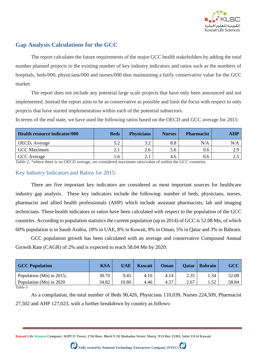

# **Gap Analysis Calculations for the GCC**

The report calculates the future requirements of the major GCC health stakeholders by adding the total number planned projects to the existing number of key industry indicators and ratios such as the numbers of hospitals, beds/000, physicians/000 and nurses/000 thus maintaining a fairly conservative value for the GCC market.

The report does not include any potential large scale projects that have only been announced and not implemented. Instead the report aims to be as conservative as possible and limit the focus with respect to only projects that have started implementation within each of the potential subsectors.

In terms of the end state, we have used the following ratios based on the OECD and GCC average for 2015:

| Health resource indicator/000 | <b>Beds</b> | <b>Physicians</b> | <b>Nurses</b> | <b>Pharmacist</b> | <b>AHP</b> |
|-------------------------------|-------------|-------------------|---------------|-------------------|------------|
| OECD <sub>1</sub> Average     | 5.2         | 3.2               | 8.8           | N/A               | N/A        |
| <b>GCC</b> Maximum            | ا . د       | 2.6               | 5.6           | 0.6               | 2.9        |
| GCC Average                   | . .6        | 2.1               | 4.6           | 0.6               | ۵.,        |

*Table-2,* \*where there is no OECD average, we considered maximum ratio/value of within the GCC countries.

#### Key Industry Indicators and Ratios for 2015:

There are five important key indicators are considered as most important sources for healthcare industry gap analysis. These key indicators include the following: number of beds, physicians, nurses, pharmacist and allied health professionals (AHP) which include assistant pharmacists, lab and imaging technicians. These health indicators or ratios have been calculated with respect to the population of the GCC countries. According to population statistics the current population (up to 2014) of GCC is 52.08 Mn, of which 60% population is in Saudi Arabia, 18% in UAE, 8% in Kuwait, 8% in Oman, 5% in Qatar and 3% in Bahrain.

GCC population growth has been calculated with an average and conservative Compound Annual Growth Rate (CAGR) of 2% and is expected to reach 58.04 Mn by 2020.

| <b>GCC Population</b>      | <b>KSA</b> | UAE   | <b>Kuwait</b> | Oman | <b>Qatar</b> | <b>Bahrain</b> | <b>GCC</b> |
|----------------------------|------------|-------|---------------|------|--------------|----------------|------------|
| Population (Mn) in $20152$ | 30.70      | 9.45  | 4.10          | 4.14 | 2.35         | .34            | 52.08      |
| Population (Mn) in 2020    | 34.82      | 10.80 | 4.46          | 4.57 | 2.67         | .52            | 58.84      |
| $Table-3$                  |            |       |               |      |              |                |            |

*Table-3*

As a compilation, the total number of Beds 90,426, Physicians 110,039, Nurses 224,509, Pharmacist 27,502 and AHP 127,023, with a further breakdown by country as follows:

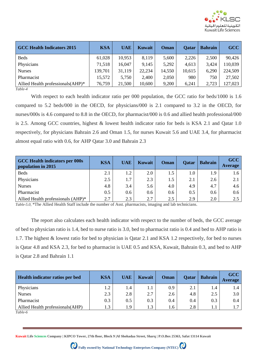

| <b>GCC Health Indicators 2015</b>             | <b>KSA</b> | <b>UAE</b> | Kuwait | Oman   | <b>Qatar</b> | <b>Bahrain</b> | <b>GCC</b> |
|-----------------------------------------------|------------|------------|--------|--------|--------------|----------------|------------|
| <b>Beds</b>                                   | 61,028     | 10,953     | 8,119  | 5,600  | 2,226        | 2,500          | 90,426     |
| Physicians                                    | 71,518     | 16,047     | 9,145  | 5,292  | 4,613        | 3,424          | 110,039    |
| <b>Nurses</b>                                 | 139,701    | 31,119     | 22,234 | 14,550 | 10,615       | 6,290          | 224,509    |
| Pharmacist                                    | 15,572     | 5,750      | 2,400  | 2,050  | 980          | 750            | 27,502     |
| Allied Health professionals (AHP)*<br>$-1111$ | 76,759     | 21,500     | 10,600 | 9,200  | 6,241        | 2,723          | 127,023    |

With respect to each health indicator ratio per 000 population, the GCC ratio for beds/1000 is 1.6 compared to 5.2 beds/000 in the OECD, for physicians/000 is 2.1 compared to 3.2 in the OECD, for nurses/000s is 4.6 compared to 8.8 in the OECD, for pharmacist/000 is 0.6 and allied health professional/000 is 2.5. Among GCC countries, highest & lowest health indicator ratio for beds is KSA 2.1 and Qatar 1.0 respectively, for physicians Bahrain 2.6 and Oman 1.5, for nurses Kuwait 5.6 and UAE 3.4, for pharmacist almost equal ratio with 0.6, for AHP Qatar 3.0 and Bahrain 2.3

| <b>GCC Health indicators per 000s</b><br>population in 2015 | <b>KSA</b> | <b>UAE</b> | <b>Kuwait</b> | Oman             | <b>Qatar</b> | <b>Bahrain</b> | <b>GCC</b><br>Average |
|-------------------------------------------------------------|------------|------------|---------------|------------------|--------------|----------------|-----------------------|
| <b>Beds</b>                                                 | 2.1        | 1.2        | 2.0           | 1.5              | 1.0          | 1.9            | 1.6                   |
| Physicians                                                  | 2.5        | 1.7        | 2.3           | 1.5              | 2.1          | 2.6            | 2.1                   |
| <b>Nurses</b>                                               | 4.8        | 3.4        | 5.6           | 4.0              | 4.9          | 4.7            | 4.6                   |
| Pharmacist                                                  | 0.5        | 0.6        | 0.6           | 0.6 <sub>1</sub> | 0.5          | 0.6            | 0.6                   |
| Allied Health professionals (AHP)*                          | 2.7        | 2.3        | 2.7           | 2.5              | 2.9          | 2.0            | 2.5                   |

*Table-5.0,* \*The Allied Health Staff include the number of Asst. pharmacists, imaging and lab technicians.

The report also calculates each health indicator with respect to the number of beds, the GCC average of bed to physician ratio is 1.4, bed to nurse ratio is 3.0, bed to pharmacist ratio is 0.4 and bed to AHP ratio is 1.7. The highest & lowest ratio for bed to physician is Qatar 2.1 and KSA 1.2 respectively, for bed to nurses is Qatar 4.8 and KSA 2.3, for bed to pharmacist is UAE 0.5 and KSA, Kuwait, Bahrain 0.3, and bed to AHP is Qatar 2.8 and Bahrain 1.1

| Health indicator ratios per bed   | <b>KSA</b> | <b>UAE</b> | <b>Kuwait</b> | Oman | <b>Qatar</b> | <b>Bahrain</b> | <b>GCC</b><br><b>Average</b> |
|-----------------------------------|------------|------------|---------------|------|--------------|----------------|------------------------------|
| Physicians                        | 1.2        | 1.4        | 1.1           | 0.9  | 2.1          | 1.4            |                              |
| <b>Nurses</b>                     | 2.3        | 2.8        | 2.7           | 2.6  | 4.8          | 2.5            | 3.0                          |
| Pharmacist                        | 0.3        | 0.5        | 0.3           | 0.4  | 0.4          | 0.3            | 0.4                          |
| Allied Health professionals (AHP) | 1.3        | 1.9        | 1.3           | 1.6  | 2.8          |                |                              |

*Table-6*

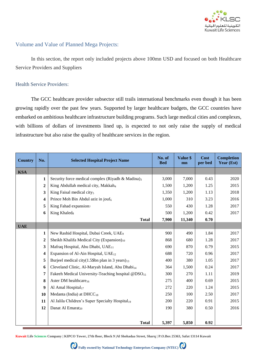

#### Volume and Value of Planned Mega Projects:

In this section, the report only included projects above 100mn USD and focused on both Healthcare Service Providers and Suppliers

#### Health Service Providers:

The GCC healthcare provider subsector still trails international benchmarks even though it has been growing rapidly over the past few years. Supported by larger healthcare budgets, the GCC countries have embarked on ambitious healthcare infrastructure building programs. Such large medical cities and complexes, with billions of dollars of investments lined up, is expected to not only raise the supply of medical infrastructure but also raise the quality of healthcare services in the region.

| <b>Country</b> | No.                     | <b>Selected Hospital Project Name</b>                          | No. of<br><b>Bed</b> | Value \$<br>mn | <b>Cost</b><br>per bed | <b>Completion</b><br>Year (Est) |
|----------------|-------------------------|----------------------------------------------------------------|----------------------|----------------|------------------------|---------------------------------|
| <b>KSA</b>     |                         |                                                                |                      |                |                        |                                 |
|                | 1                       | Security force medical complex (Riyadh & Madina) <sub>3</sub>  | 3,000                | 7,000          | 0.43                   | 2020                            |
|                | $\overline{2}$          | King Abdullah medical city, Makkah <sub>4</sub>                | 1,500                | 1,200          | 1.25                   | 2015                            |
|                | 3                       | King Faisal medical city <sub>5</sub>                          | 1,350                | 1,200          | 1.13                   | 2018                            |
|                | $\overline{\mathbf{4}}$ | Prince Moh Bin Abdul aziz in jouf <sub>6</sub>                 | 1,000                | 310            | 3.23                   | 2016                            |
|                | 5                       | King Fahad expansion <sub>7</sub>                              | 550                  | 430            | 1.28                   | 2017                            |
|                | 6                       | King Khaled <sub>8</sub>                                       | 500                  | 1,200          | 0.42                   | 2017                            |
|                |                         | <b>Total</b>                                                   | 7,900                | 11,340         | 0.70                   |                                 |
| <b>UAE</b>     |                         |                                                                |                      |                |                        |                                 |
|                | 1                       | New Rashid Hospital, Dubai Creek, UAE <sub>9</sub>             | 900                  | 490            | 1.84                   | 2017                            |
|                | $\overline{2}$          | Sheikh Khalifa Medical City (Expansion) <sub>10</sub>          | 868                  | 680            | 1.28                   | 2017                            |
|                | 3                       | Mafraq Hospital, Abu Dhabi, UAE <sub>11</sub>                  | 690                  | 870            | 0.79                   | 2015                            |
|                | $\boldsymbol{4}$        | Expansion of Al-Ain Hospital, UAE <sub>12</sub>                | 688                  | 720            | 0.96                   | 2017                            |
|                | 5                       | Burjeel medical city(1.5\$bn plan in 3 years) $_{13}$          | 400                  | 380            | 1.05                   | 2017                            |
|                | 6                       | Cleveland Clinic, Al-Maryah Island, Abu Dhabi <sub>14</sub>    | 364                  | 1,500          | 0.24                   | 2017                            |
|                | 7                       | Fakeeh Medical University-Teaching hospital @DSO <sub>15</sub> | 300                  | 270            | 1.11                   | 2019                            |
|                | 8                       | Aster DM healthcare <sub>16</sub>                              | 275                  | 400            | 0.69                   | 2015                            |
|                | 9                       | Al Amal Hospital <sub>17</sub>                                 | 272                  | 220            | 1.24                   | 2015                            |
|                | 10                      | Medanta (India) at $DHCC_{18}$                                 | 250                  | 100            | 2.50                   | 2017                            |
|                | 11                      | Al Jalila Children's Super Specialty Hospital <sub>19</sub>    | 200                  | 220            | 0.91                   | 2015                            |
|                | 12                      | Danat Al Emarat <sub>20</sub>                                  | 190                  | 380            | 0.50                   | 2016                            |
|                |                         |                                                                |                      |                |                        |                                 |
|                |                         | <b>Total</b>                                                   | 5,397                | 5,850          | 0.92                   |                                 |

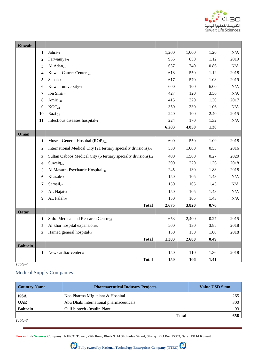

| Kuwait         |                         |                                                                            |       |       |      |           |
|----------------|-------------------------|----------------------------------------------------------------------------|-------|-------|------|-----------|
|                | $\mathbf{1}$            | Jahra <sub>21</sub>                                                        | 1,200 | 1,000 | 1.20 | N/A       |
|                | $\overline{2}$          | Farwaniya <sub>21</sub>                                                    | 955   | 850   | 1.12 | 2019      |
|                | 3                       | Al Adan <sub>21</sub>                                                      | 637   | 740   | 0.86 | N/A       |
|                | $\overline{\mathbf{4}}$ | Kuwait Cancer Center 21                                                    | 618   | 550   | 1.12 | 2018      |
|                | 5                       | Sabah 21                                                                   | 617   | 570   | 1.08 | 2019      |
|                | 6                       | Kuwait university <sub>21</sub>                                            | 600   | 100   | 6.00 | N/A       |
|                | $\overline{7}$          | Ibn Sina 21                                                                | 427   | 120   | 3.56 | N/A       |
|                | 8                       | Amiri 21                                                                   | 415   | 320   | 1.30 | 2017      |
|                | 9                       | KOC <sub>21</sub>                                                          | 350   | 330   | 1.06 | N/A       |
|                | 10                      | Razi 21                                                                    | 240   | 100   | 2.40 | 2015      |
|                | 11                      | Infectious diseases hospital <sub>21</sub>                                 | 224   | 170   | 1.32 | $\rm N/A$ |
|                |                         |                                                                            | 6,283 | 4,850 | 1.30 |           |
| Oman           |                         |                                                                            |       |       |      |           |
|                | $\mathbf{1}$            | Muscat General Hospital (ROP) <sub>22</sub>                                | 600   | 550   | 1.09 | 2018      |
|                | $\boldsymbol{2}$        | International Medical City (21 tertiary specialty divisions) <sub>23</sub> | 530   | 1,000 | 0.53 | 2016      |
|                | 3                       | Sultan Qaboos Medical City (5 tertiary specialty divisions) <sub>24</sub>  | 400   | 1,500 | 0.27 | 2020      |
|                | $\overline{\mathbf{4}}$ | Suwaiq <sub>25</sub>                                                       | 300   | 220   | 1.36 | 2018      |
|                | 5                       | Al Masarra Psychatric Hospital 26                                          | 245   | 130   | 1.88 | 2018      |
|                | 6                       | Khasab <sub>27</sub>                                                       | 150   | 105   | 1.43 | $\rm N/A$ |
|                | 7                       | Samail <sub>27</sub>                                                       | 150   | 105   | 1.43 | $\rm N/A$ |
|                | 8                       | AL Najat <sub>27</sub>                                                     | 150   | 105   | 1.43 | $\rm N/A$ |
|                | 9                       | AL Falah <sub>27</sub>                                                     | 150   | 105   | 1.43 | $\rm N/A$ |
|                |                         | <b>Total</b>                                                               | 2,675 | 3,820 | 0.70 |           |
| Qatar          |                         |                                                                            |       |       |      |           |
|                | 1                       | Sidra Medical and Research Centre <sub>28</sub>                            | 653   | 2,400 | 0.27 | 2015      |
|                | $\overline{2}$          | Al khor hospital expansion <sub>29</sub>                                   | 500   | 130   | 3.85 | 2018      |
|                | $\mathbf{3}$            | Hamad general hospital <sub>30</sub>                                       | 150   | 150   | 1.00 | 2018      |
|                |                         | <b>Total</b>                                                               | 1,303 | 2,680 | 0.49 |           |
| <b>Bahrain</b> |                         |                                                                            |       |       |      |           |
|                | 1                       | New cardiac center <sub>31</sub>                                           | 150   | 110   | 1.36 | 2018      |
|                |                         | <b>Total</b>                                                               | 150   | 106   | 1.41 |           |

## Medical Supply Companies:

| <b>Country Name</b> | <b>Pharmaceutical Industry Projects</b> | Value USD \$ mn |
|---------------------|-----------------------------------------|-----------------|
| <b>KSA</b>          | Neo Pharma Mfg. plant & Hospital        | 265             |
| <b>UAE</b>          | Abu Dhabi international pharmaceuticals | 300             |
| <b>Bahrain</b>      | Gulf biotech -Insulin Plant             | 93              |
|                     | <b>Total</b>                            | 658             |
| Table-8             |                                         |                 |

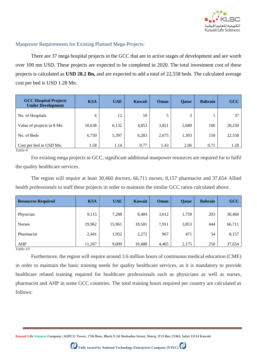

#### Manpower Requirements for Existing Planned Mega-Projects:

There are 37 mega hospital projects in the GCC that are in active stages of development and are worth over 100 mn USD. These projects are expected to be completed in 2020. The total investment cost of these projects is calculated as **USD 28.2 Bn,** and are expected to add a total of 22,558 beds. The calculated average cost per bed is USD 1.28 Mn.

| <b>GCC Hospital Projects</b><br><b>Under Development</b> | <b>KSA</b> | <b>UAE</b> | Kuwait | Oman  | <b>Qatar</b> | <b>Bahrain</b> | <b>GCC</b> |
|----------------------------------------------------------|------------|------------|--------|-------|--------------|----------------|------------|
| No. of Hospitals                                         | 6          | 12         | 10     | 5     | 3            |                | 37         |
| Value of projects in \$ Mn                               | 10,638     | 6,132      | 4,853  | 3,821 | 2,680        | 106            | 28,230     |
| No. of Beds                                              | 6,750      | 5,397      | 6,283  | 2,675 | 1,303        | 150            | 22,558     |
| Cost per bed in USD Mn.<br>$Table-9$                     | 1.58       | 1.14       | 0.77   | 1.43  | 2.06         | 0.71           | 1.28       |

For existing mega projects in GCC, significant additional manpower resources are required for to fulfil the quality healthcare services.

The region will require at least 30,460 doctors, 66,711 nurses, 8,157 pharmacist and 37,654 Allied health professionals to staff these projects in order to maintain the similar GCC ratios calculated above.

| <b>Resources Required</b> | <b>KSA</b> | <b>UAE</b> | <b>Kuwait</b> | Oman  | <b>Qatar</b> | <b>Bahrain</b> | <b>GCC</b> |
|---------------------------|------------|------------|---------------|-------|--------------|----------------|------------|
| Physician                 | 9,115      | 7,288      | 8,484         | 3,612 | 1,759        | 203            | 30,460     |
| <b>Nurses</b>             | 19,962     | 15,961     | 18,581        | 7,911 | 3,853        | 444            | 66,711     |
| Pharmacist                | 2,441      | 1,952      | 2,272         | 967   | 471          | 54             | 8,157      |
| AHP<br>$-11.10$           | 11,267     | 9,009      | 10,488        | 4,465 | 2,175        | 250            | 37,654     |

*Table-10*

Furthermore, the region will require around 3.6 million hours of continuous medical education (CME) in order to maintain the basic training needs for quality healthcare services, as it is mandatory to provide healthcare related training required for healthcare professionals such as physicians as well as nurses, pharmacist and AHP in some GCC countries. The total training hours required per country are calculated as follows:

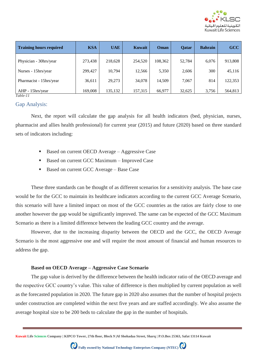

| <b>Training hours required</b> | <b>KSA</b> | <b>UAE</b> | Kuwait  | Oman    | <b>Oatar</b> | <b>Bahrain</b> | GCC     |
|--------------------------------|------------|------------|---------|---------|--------------|----------------|---------|
| Physician - 30hrs/year         | 273,438    | 218,628    | 254,520 | 108,362 | 52,784       | 6,076          | 913,808 |
| Nurses - 15hrs/year            | 299,427    | 10,794     | 12,566  | 5,350   | 2,606        | 300            | 45,116  |
| Pharmacist - 15hrs/year        | 36,611     | 29,273     | 34,078  | 14.509  | 7,067        | 814            | 122,353 |
| AHP - 15hrs/year<br>Table-11   | 169,008    | 135,132    | 157,315 | 66,977  | 32,625       | 3,756          | 564,813 |

#### Gap Analysis:

Next, the report will calculate the gap analysis for all health indicators (bed, physician, nurses, pharmacist and allies health professional) for current year (2015) and future (2020) based on three standard sets of indicators including:

- Based on current OECD Average Aggressive Case
- Based on current GCC Maximum Improved Case
- Based on current GCC Average Base Case

These three standards can be thought of as different scenarios for a sensitivity analysis. The base case would be for the GCC to maintain its healthcare indicators according to the current GCC Average Scenario, this scenario will have a limited impact on most of the GCC countries as the ratios are fairly close to one another however the gap would be significantly improved. The same can be expected of the GCC Maximum Scenario as there is a limited difference between the leading GCC country and the average.

However, due to the increasing disparity between the OECD and the GCC, the OECD Average Scenario is the most aggressive one and will require the most amount of financial and human resources to address the gap.

#### **Based on OECD Average – Aggressive Case Scenario**

The gap value is derived by the difference between the health indicator ratio of the OECD average and the respective GCC country's value. This value of difference is then multiplied by current population as well as the forecasted population in 2020. The future gap in 2020 also assumes that the number of hospital projects under construction are completed within the next five years and are staffed accordingly. We also assume the average hospital size to be 200 beds to calculate the gap in the number of hospitals.

**Kuwait Life Sciences Company | KIPCO Tower, 27th floor, Block 9 |Al Shohadaa Street, Sharq | P.O.Box 25363, Safat 13114 Kuwait**

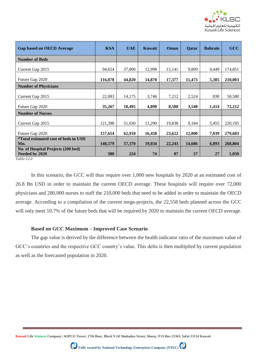

| <b>Gap based on OECD Average</b>                                        | <b>KSA</b> | <b>UAE</b> | Kuwait | Oman   | Qatar  | <b>Bahrain</b> | GCC     |
|-------------------------------------------------------------------------|------------|------------|--------|--------|--------|----------------|---------|
| <b>Number of Beds</b>                                                   |            |            |        |        |        |                |         |
| Current Gap 2015                                                        | 94,654     | 37,800     | 12,998 | 15,141 | 9,809  | 4,449          | 174,851 |
| Future Gap 2020                                                         | 116,078    | 44,820     | 14,870 | 17,377 | 11,473 | 5,385          | 210,003 |
| <b>Number of Physicians</b>                                             |            |            |        |        |        |                |         |
| Current Gap 2015                                                        | 22,083     | 14,175     | 3,746  | 7,212  | 2,524  | 838            | 50,580  |
| Future Gap 2020                                                         | 35,267     | 18,495     | 4,898  | 8,588  | 3,548  | 1,414          | 72,212  |
| <b>Number of Nurses</b>                                                 |            |            |        |        |        |                |         |
| Current Gap 2015                                                        | 121,398    | 51,030     | 13,290 | 19,838 | 9,184  | 5,455          | 220,195 |
| Future Gap 2020                                                         | 157,654    | 62,910     | 16,458 | 23,622 | 12,000 | 7,039          | 279,683 |
| <i>*Total estimated cost of beds in USD</i>                             |            |            |        |        |        |                |         |
| Mn.                                                                     | 148,579    | 57,370     | 19,034 | 22,243 | 14,686 | 6,893          | 268,804 |
| No. of Hospital Projects (200 bed)<br>Needed by 2020<br>$-11$ $-12$ $-$ | 580        | 224        | 74     | 87     | 57     | 27             | 1,050   |

*Table-12.0*

In this scenario, the GCC will thus require over 1,000 new hospitals by 2020 at an estimated cost of 26.8 Bn USD in order to maintain the current OECD average. These hospitals will require over 72,000 physicians and 280,000 nurses to staff the 210,000 beds that need to be added in order to maintain the OECD average. According to a compilation of the current mega-projects, the 22,558 beds planned across the GCC will only meet 10.7% of the future beds that will be required by 2020 to maintain the current OECD average.

#### **Based on GCC Maximum – Improved Case Scenario**

The gap value is derived by the difference between the health indicator ratio of the maximum value of GCC's countries and the respective GCC country's value. This delta is then multiplied by current population as well as the forecasted population in 2020.

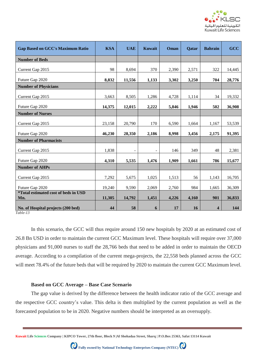

| <b>Gap Based on GCC's Maximum Ratio</b>            | <b>KSA</b> | <b>UAE</b>               | Kuwait | Oman  | <b>Qatar</b> | <b>Bahrain</b>          | GCC    |
|----------------------------------------------------|------------|--------------------------|--------|-------|--------------|-------------------------|--------|
| <b>Number of Beds</b>                              |            |                          |        |       |              |                         |        |
| Current Gap 2015                                   | 98         | 8,694                    | 370    | 2,390 | 2,571        | 322                     | 14,445 |
| Future Gap 2020                                    | 8,832      | 11,556                   | 1,133  | 3,302 | 3,250        | 704                     | 28,776 |
| <b>Number of Physicians</b>                        |            |                          |        |       |              |                         |        |
| Current Gap 2015                                   | 3,663      | 8,505                    | 1,286  | 4,728 | 1,114        | 34                      | 19,332 |
| Future Gap 2020                                    | 14,375     | 12,015                   | 2,222  | 5,846 | 1,946        | 502                     | 36,908 |
| <b>Number of Nurses</b>                            |            |                          |        |       |              |                         |        |
| Current Gap 2015                                   | 23,158     | 20,790                   | 170    | 6,590 | 1,664        | 1,167                   | 53,539 |
| Future Gap 2020                                    | 46,230     | 28,350                   | 2,186  | 8,998 | 3,456        | 2,175                   | 91,395 |
| <b>Number of Pharmacists</b>                       |            |                          |        |       |              |                         |        |
| Current Gap 2015                                   | 1,838      | $\overline{\phantom{a}}$ | ۰      | 146   | 349          | 48                      | 2,381  |
| Future Gap 2020                                    | 4,310      | 5,535                    | 1,476  | 1,909 | 1,661        | 786                     | 15,677 |
| <b>Number of AHPs</b>                              |            |                          |        |       |              |                         |        |
| Current Gap 2015                                   | 7,292      | 5,675                    | 1,025  | 1,513 | 56           | 1,143                   | 16,705 |
| Future Gap 2020                                    | 19,240     | 9,590                    | 2,069  | 2,760 | 984          | 1,665                   | 36,309 |
| <i>*Total estimated cost of beds in USD</i><br>Mn. | 11,305     | 14,792                   | 1,451  | 4,226 | 4,160        | 901                     | 36,833 |
| No. of Hospital projects (200 bed)                 | 44         | 58                       | 6      | 17    | 16           | $\overline{\mathbf{4}}$ | 144    |

In this scenario, the GCC will thus require around 150 new hospitals by 2020 at an estimated cost of 26.8 Bn USD in order to maintain the current GCC Maximum level. These hospitals will require over 37,000 physicians and 91,000 nurses to staff the 28,766 beds that need to be added in order to maintain the OECD average. According to a compilation of the current mega-projects, the 22,558 beds planned across the GCC will meet 78.4% of the future beds that will be required by 2020 to maintain the current GCC Maximum level.

#### **Based on GCC Average – Base Case Scenario**

The gap value is derived by the difference between the health indicator ratio of the GCC average and the respective GCC country's value. This delta is then multiplied by the current population as well as the forecasted population to be in 2020. Negative numbers should be interpreted as an oversupply.

**Kuwait Life Sciences Company | KIPCO Tower, 27th floor, Block 9 |Al Shohadaa Street, Sharq | P.O.Box 25363, Safat 13114 Kuwait**

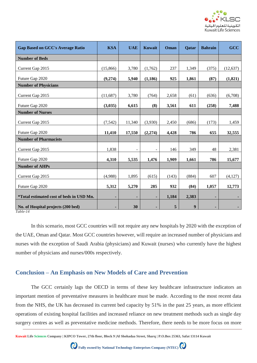

| <b>Gap Based on GCC's Average Ratio</b>  | <b>KSA</b> | <b>UAE</b>               | <b>Kuwait</b>            | Oman  | <b>Qatar</b>     | <b>Bahrain</b> | GCC       |
|------------------------------------------|------------|--------------------------|--------------------------|-------|------------------|----------------|-----------|
| <b>Number of Beds</b>                    |            |                          |                          |       |                  |                |           |
| Current Gap 2015                         | (15,866)   | 3,780                    | (1,762)                  | 237   | 1,349            | (375)          | (12, 637) |
| Future Gap 2020                          | (9,274)    | 5,940                    | (1, 186)                 | 925   | 1,861            | (87)           | (1, 821)  |
| <b>Number of Physicians</b>              |            |                          |                          |       |                  |                |           |
| Current Gap 2015                         | (11,687)   | 3,780                    | (764)                    | 2,658 | (61)             | (636)          | (6,708)   |
| Future Gap 2020                          | (3,035)    | 6,615                    | (8)                      | 3,561 | 611              | (258)          | 7,488     |
| <b>Number of Nurses</b>                  |            |                          |                          |       |                  |                |           |
| Current Gap 2015                         | (7, 542)   | 11,340                   | (3,930)                  | 2,450 | (686)            | (173)          | 1,459     |
| Future Gap 2020                          | 11,410     | 17,550                   | (2,274)                  | 4,428 | 786              | 655            | 32,555    |
| <b>Number of Pharmacists</b>             |            |                          |                          |       |                  |                |           |
| Current Gap 2015                         | 1,838      | $\overline{\phantom{a}}$ | $\overline{\phantom{a}}$ | 146   | 349              | 48             | 2,381     |
| Future Gap 2020                          | 4,310      | 5,535                    | 1,476                    | 1,909 | 1,661            | 786            | 15,677    |
| <b>Number of AHPs</b>                    |            |                          |                          |       |                  |                |           |
| Current Gap 2015                         | (4,988)    | 1,895                    | (615)                    | (143) | (884)            | 607            | (4,127)   |
| Future Gap 2020                          | 5,312      | 5,270                    | 285                      | 932   | (84)             | 1,057          | 12,773    |
| *Total estimated cost of beds in USD Mn. | ٠          |                          | ٠                        | 1,184 | 2,383            |                |           |
| No. of Hospital projects (200 bed)       |            | 30                       | ٠                        | 5     | $\boldsymbol{9}$ |                |           |

In this scenario, most GCC countries will not require any new hospitals by 2020 with the exception of the UAE, Oman and Qatar. Most GCC countries however, will require an increased number of physicians and nurses with the exception of Saudi Arabia (physicians) and Kuwait (nurses) who currently have the highest number of physicians and nurses/000s respectively.

### **Conclusion – An Emphasis on New Models of Care and Prevention**

The GCC certainly lags the OECD in terms of these key healthcare infrastructure indicators an important mention of preventative measures in healthcare must be made. According to the most recent data from the NHS, the UK has decreased its current bed capacity by 51% in the past 25 years, as more efficient operations of existing hospital facilities and increased reliance on new treatment methods such as single day surgery centres as well as preventative medicine methods. Therefore, there needs to be more focus on more

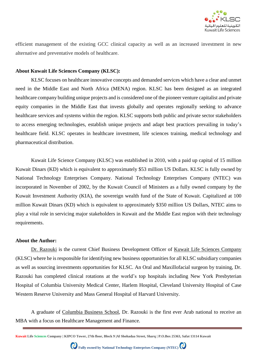

efficient management of the existing GCC clinical capacity as well as an increased investment in new alternative and preventative models of healthcare.

#### **About Kuwait Life Sciences Company (KLSC):**

KLSC focuses on healthcare innovative concepts and demanded services which have a clear and unmet need in the Middle East and North Africa (MENA) region. KLSC has been designed as an integrated healthcare company building unique projects and is considered one of the pioneer venture capitalist and private equity companies in the Middle East that invests globally and operates regionally seeking to advance healthcare services and systems within the region. KLSC supports both public and private sector stakeholders to access emerging technologies, establish unique projects and adapt best practices prevailing in today's healthcare field. KLSC operates in healthcare investment, life sciences training, medical technology and pharmaceutical distribution.

Kuwait Life Science Company (KLSC) was established in 2010, with a paid up capital of 15 million Kuwait Dinars (KD) which is equivalent to approximately \$53 million US Dollars. KLSC is fully owned by National Technology Enterprises Company. National Technology Enterprises Company (NTEC) was incorporated in November of 2002, by the Kuwait Council of Ministers as a fully owned company by the Kuwait Investment Authority (KIA), the sovereign wealth fund of the State of Kuwait. Capitalized at 100 million Kuwait Dinars (KD) which is equivalent to approximately \$350 million US Dollars, NTEC aims to play a vital role in servicing major stakeholders in Kuwait and the Middle East region with their technology requirements.

#### **About the Author:**

Dr. [Razouki](http://kw.linkedin.com/in/razouki) is the current Chief Business Development Officer of Kuwait Life Sciences [Company](http://www.klsc.com.kw/) (KLSC) where he is responsible for identifying new business opportunities for all KLSC subsidiary companies as well as sourcing investments opportunities for KLSC. An Oral and Maxillofacial surgeon by training, Dr. Razouki has completed clinical rotations at the world's top hospitals including New York Presbyterian Hospital of Columbia University Medical Center, Harlem Hospital, Cleveland University Hospital of Case Western Reserve University and Mass General Hospital of Harvard University.

A graduate of [Columbia](http://www7.gsb.columbia.edu/video/v/node/2567) Business School, Dr. Razouki is the first ever Arab national to receive an MBA with a focus on Healthcare Management and Finance.

**Kuwait Life Sciences Company | KIPCO Tower, 27th floor, Block 9 |Al Shohadaa Street, Sharq | P.O.Box 25363, Safat 13114 Kuwait**